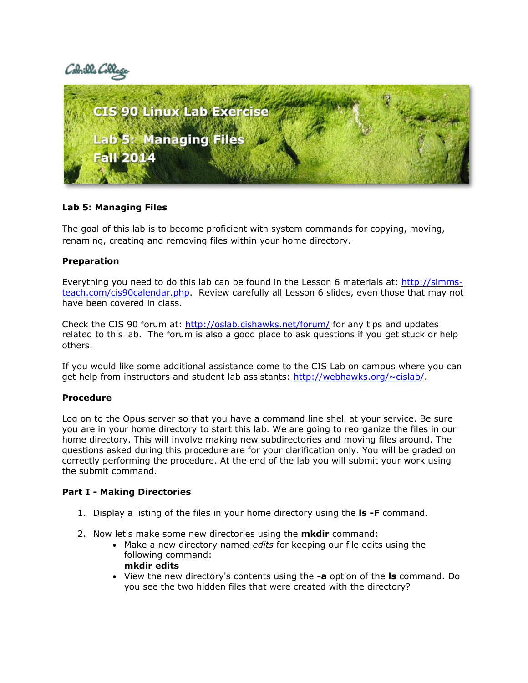# Cabrillo Coll



#### **Lab 5: Managing Files**

The goal of this lab is to become proficient with system commands for copying, moving, renaming, creating and removing files within your home directory.

#### **Preparation**

Everything you need to do this lab can be found in the Lesson 6 materials at: [http://simms](http://simms-teach.com/cis90calendar.php)[teach.com/cis90calendar.php.](http://simms-teach.com/cis90calendar.php) Review carefully all Lesson 6 slides, even those that may not have been covered in class.

Check the CIS 90 forum at:<http://oslab.cishawks.net/forum/> for any tips and updates related to this lab. The forum is also a good place to ask questions if you get stuck or help others.

If you would like some additional assistance come to the CIS Lab on campus where you can get help from instructors and student lab assistants: [http://webhawks.org/~cislab/.](http://webhawks.org/~cislab/)

#### **Procedure**

Log on to the Opus server so that you have a command line shell at your service. Be sure you are in your home directory to start this lab. We are going to reorganize the files in our home directory. This will involve making new subdirectories and moving files around. The questions asked during this procedure are for your clarification only. You will be graded on correctly performing the procedure. At the end of the lab you will submit your work using the submit command.

#### **Part I - Making Directories**

- 1. Display a listing of the files in your home directory using the **ls -F** command.
- 2. Now let's make some new directories using the **mkdir** command:
	- Make a new directory named *edits* for keeping our file edits using the following command: **mkdir edits**
	- View the new directory's contents using the **-a** option of the **ls** command. Do you see the two hidden files that were created with the directory?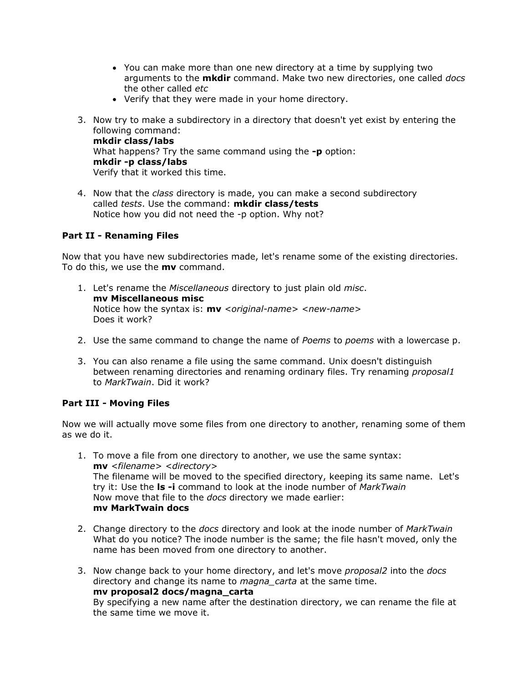- You can make more than one new directory at a time by supplying two arguments to the **mkdir** command. Make two new directories, one called *docs* the other called *etc*
- Verify that they were made in your home directory.
- 3. Now try to make a subdirectory in a directory that doesn't yet exist by entering the following command: **mkdir class/labs**  What happens? Try the same command using the **-p** option: **mkdir -p class/labs**  Verify that it worked this time.
- 4. Now that the *class* directory is made, you can make a second subdirectory called *tests*. Use the command: **mkdir class/tests** Notice how you did not need the -p option. Why not?

## **Part II - Renaming Files**

Now that you have new subdirectories made, let's rename some of the existing directories. To do this, we use the **mv** command.

- 1. Let's rename the *Miscellaneous* directory to just plain old *misc*. **mv Miscellaneous misc**  Notice how the syntax is: **mv** *<original-name> <new-name>* Does it work?
- 2. Use the same command to change the name of *Poems* to *poems* with a lowercase p.
- 3. You can also rename a file using the same command. Unix doesn't distinguish between renaming directories and renaming ordinary files. Try renaming *proposal1* to *MarkTwain*. Did it work?

#### **Part III - Moving Files**

Now we will actually move some files from one directory to another, renaming some of them as we do it.

- 1. To move a file from one directory to another, we use the same syntax: **mv** *<filename> <directory>* The filename will be moved to the specified directory, keeping its same name. Let's try it: Use the **ls -i** command to look at the inode number of *MarkTwain* Now move that file to the *docs* directory we made earlier: **mv MarkTwain docs**
- 2. Change directory to the *docs* directory and look at the inode number of *MarkTwain* What do you notice? The inode number is the same; the file hasn't moved, only the name has been moved from one directory to another.
- 3. Now change back to your home directory, and let's move *proposal2* into the *docs* directory and change its name to *magna\_carta* at the same time. **mv proposal2 docs/magna\_carta**  By specifying a new name after the destination directory, we can rename the file at the same time we move it.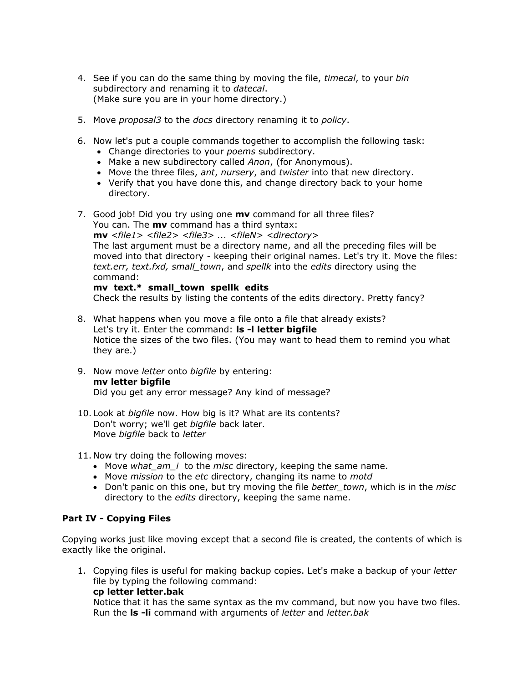- 4. See if you can do the same thing by moving the file, *timecal*, to your *bin* subdirectory and renaming it to *datecal*. (Make sure you are in your home directory.)
- 5. Move *proposal3* to the *docs* directory renaming it to *policy*.
- 6. Now let's put a couple commands together to accomplish the following task:
	- Change directories to your *poems* subdirectory.
	- Make a new subdirectory called *Anon*, (for Anonymous).
	- Move the three files, *ant*, *nursery*, and *twister* into that new directory.
	- Verify that you have done this, and change directory back to your home directory.
- 7. Good job! Did you try using one **mv** command for all three files? You can. The **mv** command has a third syntax: **mv** *<file1> <file2> <file3> ... <fileN> <directory>* The last argument must be a directory name, and all the preceding files will be moved into that directory - keeping their original names. Let's try it. Move the files: *text.err, text.fxd, small\_town*, and *spellk* into the *edits* directory using the command: **mv text.\* small\_town spellk edits**

Check the results by listing the contents of the edits directory. Pretty fancy?

- 8. What happens when you move a file onto a file that already exists? Let's try it. Enter the command: **ls -l letter bigfile** Notice the sizes of the two files. (You may want to head them to remind you what they are.)
- 9. Now move *letter* onto *bigfile* by entering: **mv letter bigfile**  Did you get any error message? Any kind of message?
- 10. Look at *bigfile* now. How big is it? What are its contents? Don't worry; we'll get *bigfile* back later. Move *bigfile* back to *letter*

11. Now try doing the following moves:

- Move *what am i to the misc directory*, keeping the same name.
- Move *mission* to the *etc* directory, changing its name to *motd*
- Don't panic on this one, but try moving the file *better\_town*, which is in the *misc* directory to the *edits* directory, keeping the same name.

#### **Part IV - Copying Files**

Copying works just like moving except that a second file is created, the contents of which is exactly like the original.

1. Copying files is useful for making backup copies. Let's make a backup of your *letter* file by typing the following command:

**cp letter letter.bak** 

Notice that it has the same syntax as the mv command, but now you have two files. Run the **ls -li** command with arguments of *letter* and *letter.bak*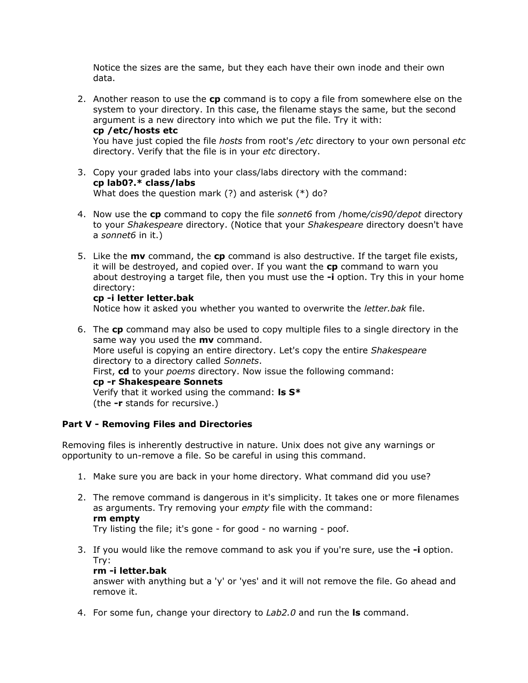Notice the sizes are the same, but they each have their own inode and their own data.

- 2. Another reason to use the **cp** command is to copy a file from somewhere else on the system to your directory. In this case, the filename stays the same, but the second argument is a new directory into which we put the file. Try it with: **cp /etc/hosts etc**  You have just copied the file *hosts* from root's */etc* directory to your own personal *etc* directory. Verify that the file is in your *etc* directory.
- 3. Copy your graded labs into your class/labs directory with the command: **cp lab0?.\* class/labs** What does the question mark (?) and asterisk (\*) do?
- 4. Now use the **cp** command to copy the file *sonnet6* from /home*/cis90/depot* directory to your *Shakespeare* directory. (Notice that your *Shakespeare* directory doesn't have a *sonnet6* in it.)
- 5. Like the **mv** command, the **cp** command is also destructive. If the target file exists, it will be destroyed, and copied over. If you want the **cp** command to warn you about destroying a target file, then you must use the **-i** option. Try this in your home directory:

#### **cp -i letter letter.bak**

Notice how it asked you whether you wanted to overwrite the *letter.bak* file.

6. The **cp** command may also be used to copy multiple files to a single directory in the same way you used the **mv** command. More useful is copying an entire directory. Let's copy the entire *Shakespeare* directory to a directory called *Sonnets*. First, **cd** to your *poems* directory. Now issue the following command: **cp -r Shakespeare Sonnets**  Verify that it worked using the command: **ls S\*** (the **-r** stands for recursive.)

#### **Part V - Removing Files and Directories**

Removing files is inherently destructive in nature. Unix does not give any warnings or opportunity to un-remove a file. So be careful in using this command.

- 1. Make sure you are back in your home directory. What command did you use?
- 2. The remove command is dangerous in it's simplicity. It takes one or more filenames as arguments. Try removing your *empty* file with the command: **rm empty**  Try listing the file; it's gone - for good - no warning - poof.
- 3. If you would like the remove command to ask you if you're sure, use the **-i** option. Try:

#### **rm -i letter.bak**

answer with anything but a 'y' or 'yes' and it will not remove the file. Go ahead and remove it.

4. For some fun, change your directory to *Lab2.0* and run the **ls** command.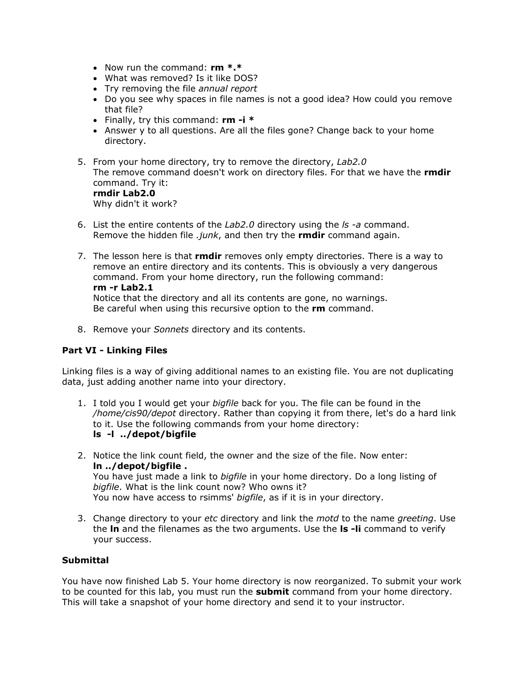- Now run the command: **rm \*.\***
- What was removed? Is it like DOS?
- Try removing the file *annual report*
- Do you see why spaces in file names is not a good idea? How could you remove that file?
- Finally, try this command: **rm -i \***
- Answer y to all questions. Are all the files gone? Change back to your home directory.
- 5. From your home directory, try to remove the directory, *Lab2.0* The remove command doesn't work on directory files. For that we have the **rmdir** command. Try it: **rmdir Lab2.0**  Why didn't it work?
- 6. List the entire contents of the *Lab2.0* directory using the *ls -a* command. Remove the hidden file *.junk*, and then try the **rmdir** command again.
- 7. The lesson here is that **rmdir** removes only empty directories. There is a way to remove an entire directory and its contents. This is obviously a very dangerous command. From your home directory, run the following command: **rm -r Lab2.1**

Notice that the directory and all its contents are gone, no warnings. Be careful when using this recursive option to the **rm** command.

8. Remove your *Sonnets* directory and its contents.

## **Part VI - Linking Files**

Linking files is a way of giving additional names to an existing file. You are not duplicating data, just adding another name into your directory.

- 1. I told you I would get your *bigfile* back for you. The file can be found in the */home/cis90/depot* directory. Rather than copying it from there, let's do a hard link to it. Use the following commands from your home directory: **ls -l ../depot/bigfile**
- 2. Notice the link count field, the owner and the size of the file. Now enter: **ln ../depot/bigfile .**  You have just made a link to *bigfile* in your home directory. Do a long listing of *bigfile*. What is the link count now? Who owns it? You now have access to rsimms' *bigfile*, as if it is in your directory.
- 3. Change directory to your *etc* directory and link the *motd* to the name *greeting*. Use the **ln** and the filenames as the two arguments. Use the **ls -li** command to verify your success.

#### **Submittal**

You have now finished Lab 5. Your home directory is now reorganized. To submit your work to be counted for this lab, you must run the **submit** command from your home directory. This will take a snapshot of your home directory and send it to your instructor.